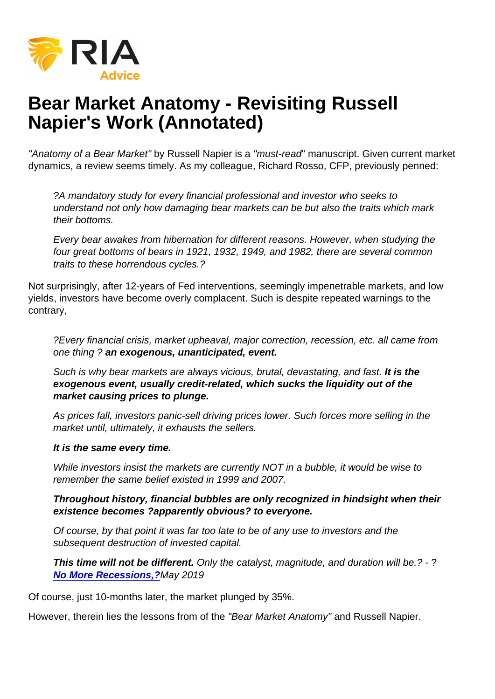# Bear Market Anatomy - Revisiting Russell Napier's Work (Annotated)

"Anatomy of a Bear Market" by Russell Napier is a "must-read" manuscript. Given current market dynamics, a review seems timely. As my colleague, Richard Rosso, CFP, previously penned:

?A mandatory study for every financial professional and investor who seeks to understand not only how damaging bear markets can be but also the traits which mark their bottoms.

Every bear awakes from hibernation for different reasons. However, when studying the four great bottoms of bears in 1921, 1932, 1949, and 1982, there are several common traits to these horrendous cycles.?

Not surprisingly, after 12-years of Fed interventions, seemingly impenetrable markets, and low yields, investors have become overly complacent. Such is despite repeated warnings to the contrary,

?Every financial crisis, market upheaval, major correction, recession, etc. all came from one thing ? an exogenous, unanticipated, event.

Such is why bear markets are always vicious, brutal, devastating, and fast. It is the exogenous event, usually credit-related, which sucks the liquidity out of the market causing prices to plunge.

As prices fall, investors panic-sell driving prices lower. Such forces more selling in the market until, ultimately, it exhausts the sellers.

It is the same every time.

While investors insist the markets are currently NOT in a bubble, it would be wise to remember the same belief existed in 1999 and 2007.

Throughout history, financial bubbles are only recognized in hindsight when their existence becomes ?apparently obvious? to everyone.

Of course, by that point it was far too late to be of any use to investors and the subsequent destruction of invested capital.

This time will not be different. Only the catalyst, magnitude, and duration will be.? - ? [No More Recessions,?](https://realinvestmentadvice.com/has-the-fed-done-it-no-more-recessions/) May 2019

Of course, just 10-months later, the market plunged by 35%.

However, therein lies the lessons from of the "Bear Market Anatomy" and Russell Napier.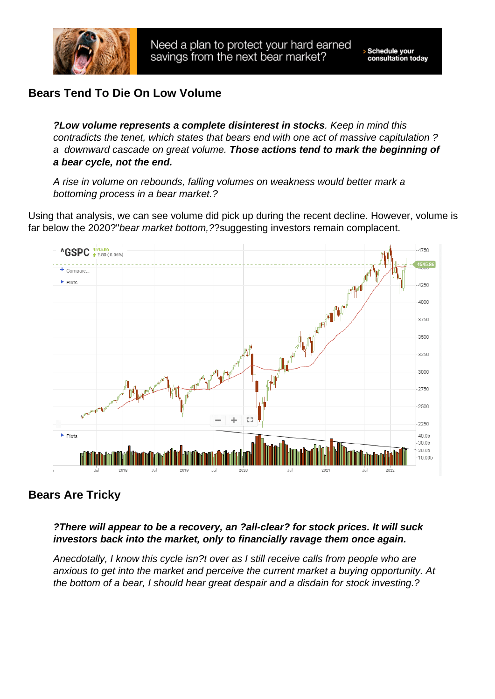# Bears Tend To Die On Low Volume

?Low volume represents a complete disinterest in stocks . Keep in mind this contradicts the tenet, which states that bears end with one act of massive capitulation ? a downward cascade on great volume. Those actions tend to mark the beginning of a bear cycle, not the end.

A rise in volume on rebounds, falling volumes on weakness would better mark a bottoming process in a bear market.?

Using that analysis, we can see volume did pick up during the recent decline. However, volume is far below the 2020?"bear market bottom,??suggesting investors remain complacent.

#### Bears Are Tricky

?There will appear to be a recovery, an ?all-clear? for stock prices. It will suck investors back into the market, only to financially ravage them once again.

Anecdotally, I know this cycle isn?t over as I still receive calls from people who are anxious to get into the market and perceive the current market a buying opportunity. At the bottom of a bear, I should hear great despair and a disdain for stock investing.?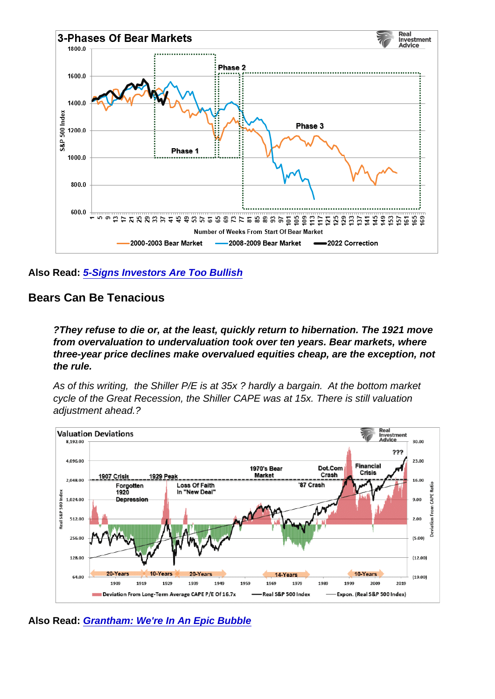Also Read: [5-Signs Investors Are Too Bullish](https://realinvestmentadvice.com/market-crash-is-it-over-or-is-it-the-revenant-2/)

Bears Can Be Tenacious

?They refuse to die or, at the least, quickly return to hibernation. The 1921 move from overvaluation to undervaluation took over ten years. Bear markets, where three-year price declines make overvalued equities cheap, are the exception, not the rule.

As of this writing, the Shiller P/E is at 35x ? hardly a bargain. At the bottom market cycle of the Great Recession, the Shiller CAPE was at 15x. There is still valuation adjustment ahead.?

Also Read: [Grantham: We're In An Epic Bubble](https://realinvestmentadvice.com/grantham-were-in-an-epic-bubble/)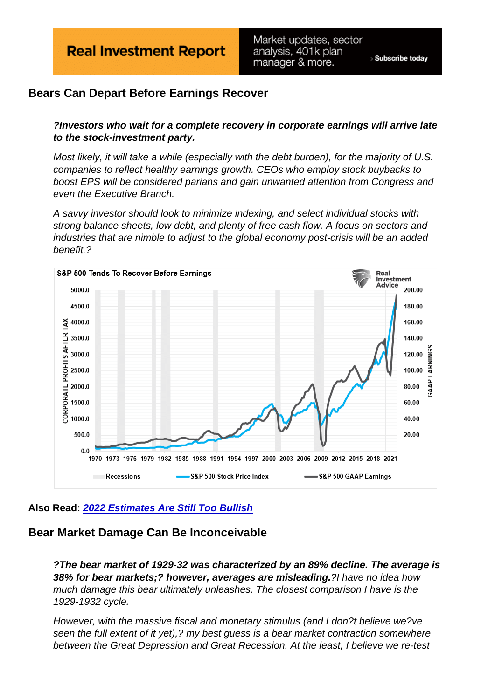## Bears Can Depart Before Earnings Recover

?Investors who wait for a complete recovery in corporate earnings will arrive late to the stock-investment party.

Most likely, it will take a while (especially with the debt burden), for the majority of U.S. companies to reflect healthy earnings growth. CEOs who employ stock buybacks to boost EPS will be considered pariahs and gain unwanted attention from Congress and even the Executive Branch.

A savvy investor should look to minimize indexing, and select individual stocks with strong balance sheets, low debt, and plenty of free cash flow. A focus on sectors and industries that are nimble to adjust to the global economy post-crisis will be an added benefit.?

Also Read: [2022 Estimates Are Still Too Bullish](https://realinvestmentadvice.com/fundamentally-speaking-estimating-the-earnings-crash/)

#### Bear Market Damage Can Be Inconceivable

?The bear market of 1929-32 was characterized by an 89% decline. The average is 38% for bear markets;? however, averages are misleading. ?I have no idea how much damage this bear ultimately unleashes. The closest comparison I have is the 1929-1932 cycle.

However, with the massive fiscal and monetary stimulus (and I don?t believe we?ve seen the full extent of it yet),? my best guess is a bear market contraction somewhere between the Great Depression and Great Recession. At the least, I believe we re-test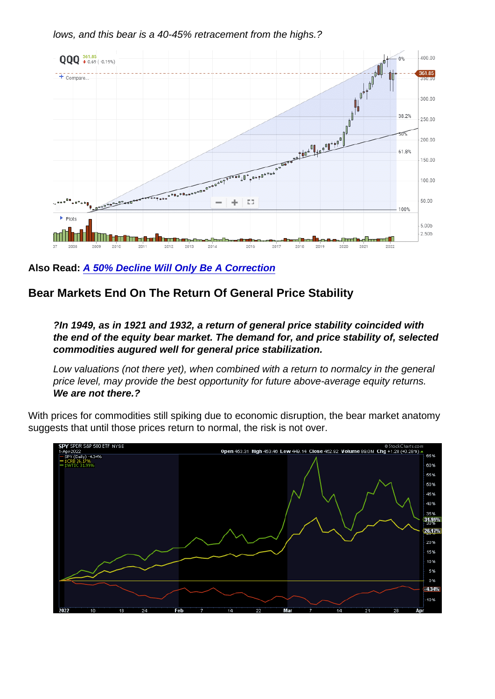lows, and this bear is a 40-45% retracement from the highs.?

Also Read: [A 50% Decline Will Only Be A Correction](https://realinvestmentadvice.com/a-50-decline-will-only-be-a-correction/)

Bear Markets End On The Return Of General Price Stability

?In 1949, as in 1921 and 1932, a return of general price stability coincided with the end of the equity bear market. The demand for, and price stability of, selected commodities augured well for general price stabilization.

Low valuations (not there yet), when combined with a return to normalcy in the general price level, may provide the best opportunity for future above-average equity returns. We are not there.?

With prices for commodities still spiking due to economic disruption, the bear market anatomy suggests that until those prices return to normal, the risk is not over.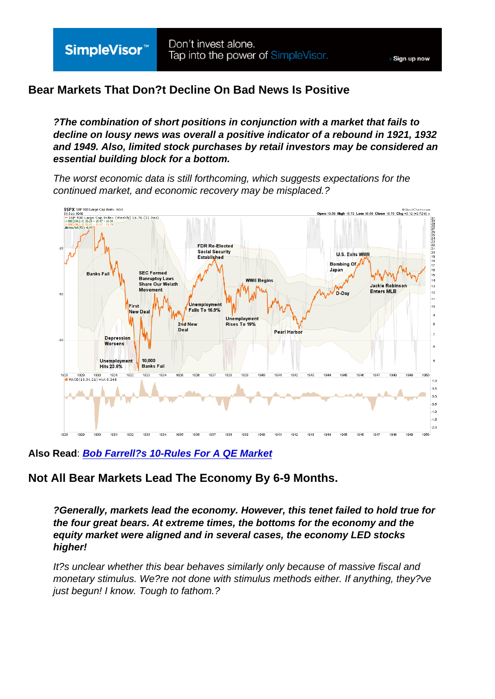## Bear Markets That Don?t Decline On Bad News Is Positive

?The combination of short positions in conjunction with a market that fails to decline on lousy news was overall a positive indicator of a rebound in 1921, 1932 and 1949. Also, limited stock purchases by retail investors may be considered an essential building block for a bottom.

The worst economic data is still forthcoming, which suggests expectations for the continued market, and economic recovery may be misplaced.?

Also Read : [Bob Farrell?s 10-Rules For A QE Market](https://realinvestmentadvice.com/technically-speaking-revisiting-bob-farrells-10-rules/)

Not All Bear Markets Lead The Economy By 6-9 Months.

?Generally, markets lead the economy. However, this tenet failed to hold true for the four great bears. At extreme times, the bottoms for the economy and the equity market were aligned and in several cases, the economy LED stocks higher!

It?s unclear whether this bear behaves similarly only because of massive fiscal and monetary stimulus. We?re not done with stimulus methods either. If anything, they?ve just begun! I know. Tough to fathom.?